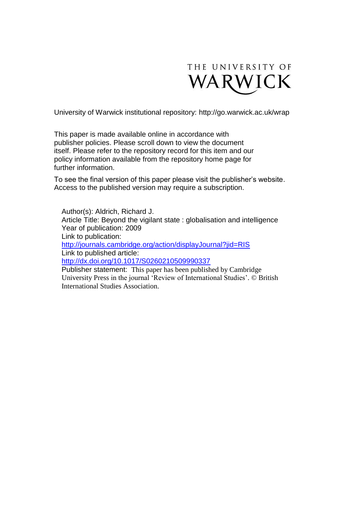

University of Warwick institutional repository:<http://go.warwick.ac.uk/wrap>

This paper is made available online in accordance with publisher policies. Please scroll down to view the document itself. Please refer to the repository record for this item and our policy information available from the repository home page for further information.

To see the final version of this paper please visit the publisher's website. Access to the published version may require a subscription.

Author(s): Aldrich, Richard J. Article Title: Beyond the vigilant state : globalisation and intelligence Year of publication: 2009 Link to publication: <http://journals.cambridge.org/action/displayJournal?jid=RIS> Link to published article: <http://dx.doi.org/10.1017/S0260210509990337> Publisher statement: This paper has been published by Cambridge

University Press in the journal 'Review of International Studies'. © British International Studies Association.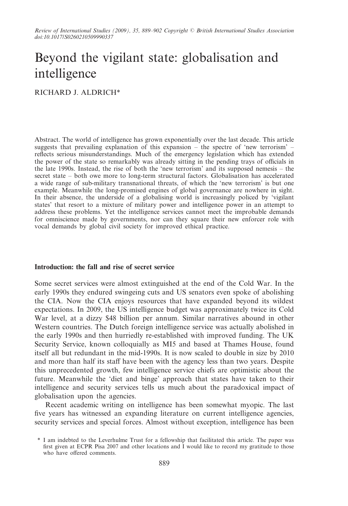*Review of International Studies (2009), 35, 889–902 Copyright British International Studies Association doi:10.1017/S0260210509990337*

# Beyond the vigilant state: globalisation and intelligence

RICHARD J. ALDRICH\*

Abstract. The world of intelligence has grown exponentially over the last decade. This article suggests that prevailing explanation of this expansion – the spectre of 'new terrorism' – reflects serious misunderstandings. Much of the emergency legislation which has extended the power of the state so remarkably was already sitting in the pending trays of officials in the late 1990s. Instead, the rise of both the 'new terrorism' and its supposed nemesis – the secret state – both owe more to long-term structural factors. Globalisation has accelerated a wide range of sub-military transnational threats, of which the 'new terrorism' is but one example. Meanwhile the long-promised engines of global governance are nowhere in sight. In their absence, the underside of a globalising world is increasingly policed by 'vigilant states' that resort to a mixture of military power and intelligence power in an attempt to address these problems. Yet the intelligence services cannot meet the improbable demands for omniscience made by governments, nor can they square their new enforcer role with vocal demands by global civil society for improved ethical practice.

#### **Introduction: the fall and rise of secret service**

Some secret services were almost extinguished at the end of the Cold War. In the early 1990s they endured swingeing cuts and US senators even spoke of abolishing the CIA. Now the CIA enjoys resources that have expanded beyond its wildest expectations. In 2009, the US intelligence budget was approximately twice its Cold War level, at a dizzy \$48 billion per annum. Similar narratives abound in other Western countries. The Dutch foreign intelligence service was actually abolished in the early 1990s and then hurriedly re-established with improved funding. The UK Security Service, known colloquially as MI5 and based at Thames House, found itself all but redundant in the mid-1990s. It is now scaled to double in size by 2010 and more than half its staff have been with the agency less than two years. Despite this unprecedented growth, few intelligence service chiefs are optimistic about the future. Meanwhile the 'diet and binge' approach that states have taken to their intelligence and security services tells us much about the paradoxical impact of globalisation upon the agencies.

Recent academic writing on intelligence has been somewhat myopic. The last five years has witnessed an expanding literature on current intelligence agencies, security services and special forces. Almost without exception, intelligence has been

<sup>\*</sup> I am indebted to the Leverhulme Trust for a fellowship that facilitated this article. The paper was first given at ECPR Pisa 2007 and other locations and I would like to record my gratitude to those who have offered comments.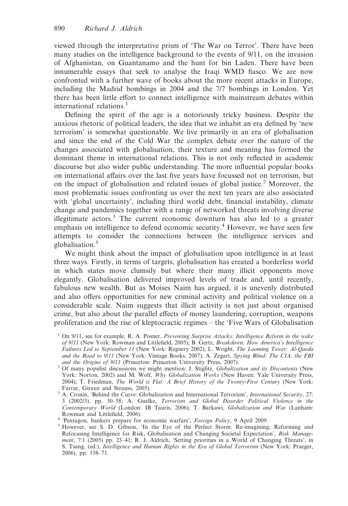viewed through the interpretative prism of 'The War on Terror'. There have been many studies on the intelligence background to the events of 9/11, on the invasion of Afghanistan, on Guantanamo and the hunt for bin Laden. There have been innumerable essays that seek to analyse the Iraqi WMD fiasco. We are now confronted with a further wave of books about the more recent attacks in Europe, including the Madrid bombings in 2004 and the 7/7 bombings in London. Yet there has been little effort to connect intelligence with mainstream debates within international relations.<sup>1</sup>

Defining the spirit of the age is a notoriously tricky business. Despite the anxious rhetoric of political leaders, the idea that we inhabit an era defined by 'new terrorism' is somewhat questionable. We live primarily in an era of globalisation and since the end of the Cold War the complex debate over the nature of the changes associated with globalisation, their texture and meaning has formed the dominant theme in international relations. This is not only reflected in academic discourse but also wider public understanding. The more influential popular books on international affairs over the last five years have focussed not on terrorism, but on the impact of globalisation and related issues of global justice.<sup>2</sup> Moreover, the most problematic issues confronting us over the next ten years are also associated with 'global uncertainty', including third world debt, financial instability, climate change and pandemics together with a range of networked threats involving diverse illegitimate actors.<sup>3</sup> The current economic downturn has also led to a greater emphasis on intelligence to defend economic security.<sup>4</sup> However, we have seen few attempts to consider the connections between the intelligence services and globalisation.5

We might think about the impact of globalisation upon intelligence in at least three ways. Firstly, in terms of targets, globalisation has created a borderless world in which states move clumsily but where their many illicit opponents move elegantly. Globalisation delivered improved levels of trade and, until recently, fabulous new wealth. But as Moises Naim has argued, it is unevenly distributed and also offers opportunities for new criminal activity and political violence on a considerable scale. Naim suggests that illicit activity is not just about organised crime, but also about the parallel effects of money laundering, corruption, weapons proliferation and the rise of kleptocractic regimes – the 'Five Wars of Globalisation

<sup>1</sup> On 9/11, see for example, R. A. Posner, *Preventing Surprise Attacks; Intelligence Reform in the wake of 9/11* (New York: Rowman and Littlefield, 2005); B. Gertz, *Breakdown: How America's Intelligence Failures Led to September 11* (New York: Regnery 2002); L. Wright, *The Looming Tower: Al-Qaeda and the Road to 9/11* (New York: Vintage Books, 2007); A. Zegart, *Spying Blind: The CIA, the FBI*

<sup>&</sup>lt;sup>2</sup> Of many populist discussions we might mention: J. Stiglitz, *Globalization and its Discontents* (New York: Norton, 2002) and M. Wolf, *Why Globalization Works* (New Haven: Yale University Press, 2004); T. Friedman, *The World is Flat: A Brief History of the Twenty-First Century* (New York:

<sup>&</sup>lt;sup>3</sup> A. Cronin, 'Behind the Curve: Globalization and International Terrorism', *International Security*, 27: 3 (2002/3), pp. 30–58; A. Guelke, *Terrorism and Global Disorder Political Violence in the Contemporary World* (London: IB Tauris, 2006); T. Barkawi, *Globalization and War* (Lanham:

<sup>&</sup>lt;sup>4</sup> 'Pentagon, bankers prepare for economic warfare', *Foreign Policy*, 9 April 2009.<br><sup>5</sup> However, see S. D. Gibson, 'In the Eye of the Perfect Storm: Re-imagining, Reforming and Refocusing Intelligence for Risk, Globalisation and Changing Societal Expectation', *Risk Management*, 7:1 (2005) pp. 23–41; R. J. Aldrich, 'Setting priorities in a World of Changing Threats', in S. Tsang, (ed.), *Intelligence and Human Rights in the Era of Global Terrorism* (New York: Praeger, 2006), pp. 158–71.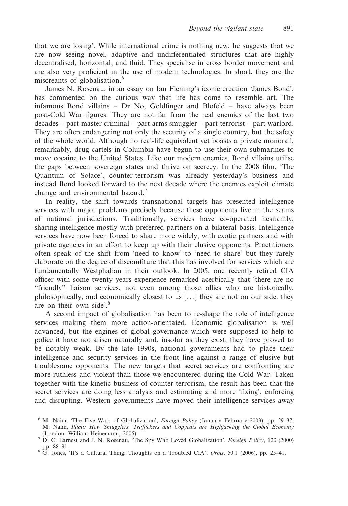that we are losing'. While international crime is nothing new, he suggests that we are now seeing novel, adaptive and undifferentiated structures that are highly decentralised, horizontal, and fluid. They specialise in cross border movement and are also very proficient in the use of modern technologies. In short, they are the miscreants of globalisation.<sup>6</sup>

James N. Rosenau, in an essay on Ian Fleming's iconic creation 'James Bond', has commented on the curious way that life has come to resemble art. The infamous Bond villains – Dr No, Goldfinger and Blofeld – have always been post-Cold War figures. They are not far from the real enemies of the last two decades – part master criminal – part arms smuggler – part terrorist – part warlord. They are often endangering not only the security of a single country, but the safety of the whole world. Although no real-life equivalent yet boasts a private monorail, remarkably, drug cartels in Columbia have begun to use their own submarines to move cocaine to the United States. Like our modern enemies, Bond villains utilise the gaps between sovereign states and thrive on secrecy. In the 2008 film, 'The Quantum of Solace', counter-terrorism was already yesterday's business and instead Bond looked forward to the next decade where the enemies exploit climate change and environmental hazard.<sup>7</sup>

In reality, the shift towards transnational targets has presented intelligence services with major problems precisely because these opponents live in the seams of national jurisdictions. Traditionally, services have co-operated hesitantly, sharing intelligence mostly with preferred partners on a bilateral basis. Intelligence services have now been forced to share more widely, with exotic partners and with private agencies in an effort to keep up with their elusive opponents. Practitioners often speak of the shift from 'need to know' to 'need to share' but they rarely elaborate on the degree of discomfiture that this has involved for services which are fundamentally Westphalian in their outlook. In 2005, one recently retired CIA officer with some twenty years experience remarked acerbically that 'there are no "friendly" liaison services, not even among those allies who are historically, philosophically, and economically closest to us [. . .] they are not on our side: they are on their own side'.<sup>8</sup>

A second impact of globalisation has been to re-shape the role of intelligence services making them more action-orientated. Economic globalisation is well advanced, but the engines of global governance which were supposed to help to police it have not arisen naturally and, insofar as they exist, they have proved to be notably weak. By the late 1990s, national governments had to place their intelligence and security services in the front line against a range of elusive but troublesome opponents. The new targets that secret services are confronting are more ruthless and violent than those we encountered during the Cold War. Taken together with the kinetic business of counter-terrorism, the result has been that the secret services are doing less analysis and estimating and more 'fixing', enforcing and disrupting. Western governments have moved their intelligence services away

<sup>6</sup> M. Naim, 'The Five Wars of Globalization', *Foreign Policy* (January–February 2003), pp. 29–37; M. Naim, *Illicit: How Smugglers, Traffickers and Copycats are Highjacking the Global Economy*

<sup>&</sup>lt;sup>7</sup> D. C. Earnest and J. N. Rosenau, 'The Spy Who Loved Globalization', *Foreign Policy*, 120 (2000) pp. 88–91.

<sup>&</sup>lt;sup>8</sup>G. Jones, 'It's a Cultural Thing: Thoughts on a Troubled CIA', *Orbis*, 50:1 (2006), pp. 25–41.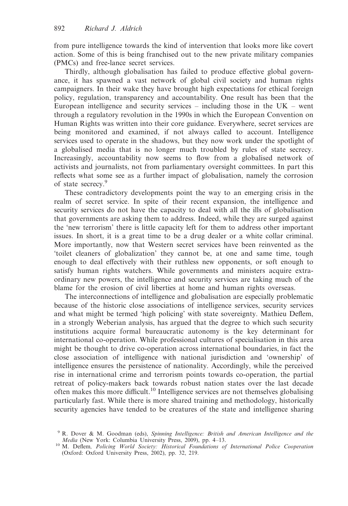from pure intelligence towards the kind of intervention that looks more like covert action. Some of this is being franchised out to the new private military companies (PMCs) and free-lance secret services.

Thirdly, although globalisation has failed to produce effective global governance, it has spawned a vast network of global civil society and human rights campaigners. In their wake they have brought high expectations for ethical foreign policy, regulation, transparency and accountability. One result has been that the European intelligence and security services – including those in the UK – went through a regulatory revolution in the 1990s in which the European Convention on Human Rights was written into their core guidance. Everywhere, secret services are being monitored and examined, if not always called to account. Intelligence services used to operate in the shadows, but they now work under the spotlight of a globalised media that is no longer much troubled by rules of state secrecy. Increasingly, accountability now seems to flow from a globalised network of activists and journalists, not from parliamentary oversight committees. In part this reflects what some see as a further impact of globalisation, namely the corrosion of state secrecy.9

These contradictory developments point the way to an emerging crisis in the realm of secret service. In spite of their recent expansion, the intelligence and security services do not have the capacity to deal with all the ills of globalisation that governments are asking them to address. Indeed, while they are surged against the 'new terrorism' there is little capacity left for them to address other important issues. In short, it is a great time to be a drug dealer or a white collar criminal. More importantly, now that Western secret services have been reinvented as the 'toilet cleaners of globalization' they cannot be, at one and same time, tough enough to deal effectively with their ruthless new opponents, or soft enough to satisfy human rights watchers. While governments and ministers acquire extraordinary new powers, the intelligence and security services are taking much of the blame for the erosion of civil liberties at home and human rights overseas.

The interconnections of intelligence and globalisation are especially problematic because of the historic close associations of intelligence services, security services and what might be termed 'high policing' with state sovereignty. Mathieu Deflem, in a strongly Weberian analysis, has argued that the degree to which such security institutions acquire formal bureaucratic autonomy is the key determinant for international co-operation. While professional cultures of specialisation in this area might be thought to drive co-operation across international boundaries, in fact the close association of intelligence with national jurisdiction and 'ownership' of intelligence ensures the persistence of nationality. Accordingly, while the perceived rise in international crime and terrorism points towards co-operation, the partial retreat of policy-makers back towards robust nation states over the last decade often makes this more difficult.<sup>10</sup> Intelligence services are not themselves globalising particularly fast. While there is more shared training and methodology, historically security agencies have tended to be creatures of the state and intelligence sharing

<sup>9</sup> R. Dover & M. Goodman (eds), *Spinning Intelligence: British and American Intelligence and the*

<sup>&</sup>lt;sup>10</sup> M. Deflem, Policing World Society: Historical Foundations of International Police Cooperation (Oxford: Oxford University Press, 2002), pp. 32, 219.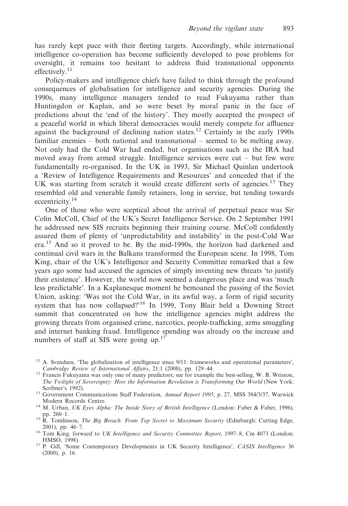has rarely kept pace with their fleeting targets. Accordingly, while international intelligence co-operation has become sufficiently developed to pose problems for oversight, it remains too hesitant to address fluid transnational opponents effectively.<sup>11</sup>

Policy-makers and intelligence chiefs have failed to think through the profound consequences of globalisation for intelligence and security agencies. During the 1990s, many intelligence managers tended to read Fukuyama rather than Huntingdon or Kaplan, and so were beset by moral panic in the face of predictions about the 'end of the history'. They mostly accepted the prospect of a peaceful world in which liberal democracies would merely compete for affluence against the background of declining nation states.<sup>12</sup> Certainly in the early 1990s familiar enemies – both national and transnational – seemed to be melting away. Not only had the Cold War had ended, but organisations such as the IRA had moved away from armed struggle. Intelligence services were cut – but few were fundamentally re-organised. In the UK in 1993, Sir Michael Quinlan undertook a 'Review of Intelligence Requirements and Resources' and conceded that if the UK was starting from scratch it would create different sorts of agencies.<sup>13</sup> They resembled old and venerable family retainers, long in service, but tending towards eccentricity.<sup>14</sup>

One of those who were sceptical about the arrival of perpetual peace was Sir Colin McColl, Chief of the UK's Secret Intelligence Service. On 2 September 1991 he addressed new SIS recruits beginning their training course. McColl confidently assured them of plenty of 'unpredictability and instability' in the post-Cold War era.<sup>15</sup> And so it proved to be. By the mid-1990s, the horizon had darkened and continual civil wars in the Balkans transformed the European scene. In 1998, Tom King, chair of the UK's Intelligence and Security Committee remarked that a few years ago some had accused the agencies of simply inventing new threats 'to justify their existence'. However, the world now seemed a dangerous place and was 'much less predictable'. In a Kaplanesque moment he bemoaned the passing of the Soviet Union, asking: 'Was not the Cold War, in its awful way, a form of rigid security system that has now collapsed?'<sup>16</sup> In 1999, Tony Blair held a Downing Street summit that concentrated on how the intelligence agencies might address the growing threats from organised crime, narcotics, people-trafficking, arms smuggling and internet banking fraud. Intelligence spending was already on the increase and numbers of staff at SIS were going up.<sup>17</sup>

- <sup>11</sup> A. Svendsen, 'The globalization of intelligence since  $9/11$ : frameworks and operational parameters', *Cambridge Review of International Affairs*, 21:1 (2008), pp. 129–44.
- <sup>12</sup> Francis Fukuyama was only one of many predictors; see for example the best-selling, W. B. Wriston, *The Twilight of Sovereignty: How the Information Revolution is Transforming Our World* (New York: Scribner's 1992). <sup>13</sup> Government Communications Staff Federation, *Annual Report 1995*, p. 27, MSS 384/3/37, Warwick
- 
- Modern Records Centre. <sup>14</sup> M. Urban, *UK Eyes Alpha: The Inside Story of British Intelligence* (London: Faber & Faber, 1996),
- pp. 260–1. <sup>15</sup> R. Tomlinson, *The Big Breach: From Top Secret to Maximum Security* (Edinburgh: Cutting Edge,
- <sup>16</sup> Tom King, forward to *UK Intelligence and Security Committee Report*, 1997–8, Cm 4073 (London: HMSO, 1998).
- <sup>17</sup> P. Gill, 'Some Contemporary Developments in UK Security Intelligence', *CASIS Intelligence* 36 (2000), p. 16.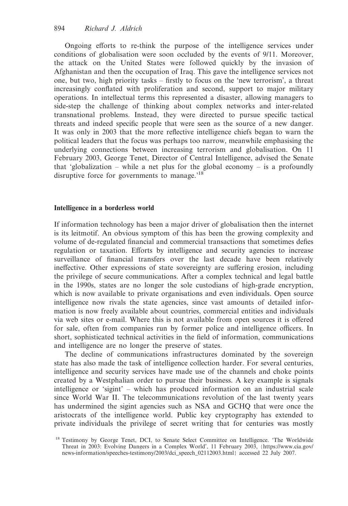Ongoing efforts to re-think the purpose of the intelligence services under conditions of globalisation were soon occluded by the events of 9/11. Moreover, the attack on the United States were followed quickly by the invasion of Afghanistan and then the occupation of Iraq. This gave the intelligence services not one, but two, high priority tasks – firstly to focus on the 'new terrorism', a threat increasingly conflated with proliferation and second, support to major military operations. In intellectual terms this represented a disaster, allowing managers to side-step the challenge of thinking about complex networks and inter-related transnational problems. Instead, they were directed to pursue specific tactical threats and indeed specific people that were seen as the source of a new danger. It was only in 2003 that the more reflective intelligence chiefs began to warn the political leaders that the focus was perhaps too narrow, meanwhile emphasising the underlying connections between increasing terrorism and globalisation. On 11 February 2003, George Tenet, Director of Central Intelligence, advised the Senate that 'globalization – while a net plus for the global economy – is a profoundly disruptive force for governments to manage.<sup>'18</sup>

### **Intelligence in a borderless world**

If information technology has been a major driver of globalisation then the internet is its leitmotif. An obvious symptom of this has been the growing complexity and volume of de-regulated financial and commercial transactions that sometimes defies regulation or taxation. Efforts by intelligence and security agencies to increase surveillance of financial transfers over the last decade have been relatively ineffective. Other expressions of state sovereignty are suffering erosion, including the privilege of secure communications. After a complex technical and legal battle in the 1990s, states are no longer the sole custodians of high-grade encryption, which is now available to private organisations and even individuals. Open source intelligence now rivals the state agencies, since vast amounts of detailed information is now freely available about countries, commercial entities and individuals via web sites or e-mail. Where this is not available from open sources it is offered for sale, often from companies run by former police and intelligence officers. In short, sophisticated technical activities in the field of information, communications and intelligence are no longer the preserve of states.

The decline of communications infrastructures dominated by the sovereign state has also made the task of intelligence collection harder. For several centuries, intelligence and security services have made use of the channels and choke points created by a Westphalian order to pursue their business. A key example is signals intelligence or 'sigint' – which has produced information on an industrial scale since World War II. The telecommunications revolution of the last twenty years has undermined the sigint agencies such as NSA and GCHQ that were once the aristocrats of the intelligence world. Public key cryptography has extended to private individuals the privilege of secret writing that for centuries was mostly

<sup>&</sup>lt;sup>18</sup> Testimony by George Tenet, DCI, to Senate Select Committee on Intelligence, 'The Worldwide Threat in 2003: Evolving Dangers in a Complex World', 11 February 2003, [{https://www.cia.gov/](https://www.cia.gov/news-information/speeches-testimony/2003/dci_speech_02112003.html) [news-information/speeches-testimony/2003/dci\\_speech\\_02112003.html}](https://www.cia.gov/news-information/speeches-testimony/2003/dci_speech_02112003.html) accessed 22 July 2007.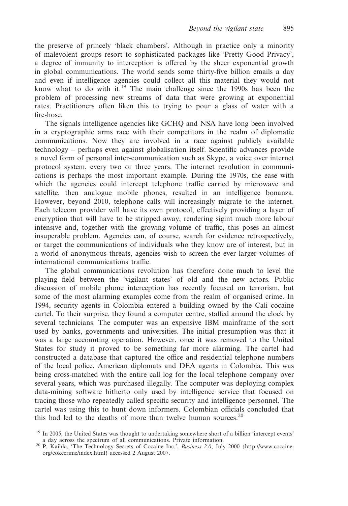the preserve of princely 'black chambers'. Although in practice only a minority of malevolent groups resort to sophisticated packages like 'Pretty Good Privacy', a degree of immunity to interception is offered by the sheer exponential growth in global communications. The world sends some thirty-five billion emails a day and even if intelligence agencies could collect all this material they would not know what to do with it.<sup>19</sup> The main challenge since the 1990s has been the problem of processing new streams of data that were growing at exponential rates. Practitioners often liken this to trying to pour a glass of water with a fire-hose.

The signals intelligence agencies like GCHQ and NSA have long been involved in a cryptographic arms race with their competitors in the realm of diplomatic communications. Now they are involved in a race against publicly available technology – perhaps even against globalisation itself. Scientific advances provide a novel form of personal inter-communication such as Skype, a voice over internet protocol system, every two or three years. The internet revolution in communications is perhaps the most important example. During the 1970s, the ease with which the agencies could intercept telephone traffic carried by microwave and satellite, then analogue mobile phones, resulted in an intelligence bonanza. However, beyond 2010, telephone calls will increasingly migrate to the internet. Each telecom provider will have its own protocol, effectively providing a layer of encryption that will have to be stripped away, rendering sigint much more labour intensive and, together with the growing volume of traffic, this poses an almost insuperable problem. Agencies can, of course, search for evidence retrospectively, or target the communications of individuals who they know are of interest, but in a world of anonymous threats, agencies wish to screen the ever larger volumes of international communications traffic.

The global communications revolution has therefore done much to level the playing field between the 'vigilant states' of old and the new actors. Public discussion of mobile phone interception has recently focused on terrorism, but some of the most alarming examples come from the realm of organised crime. In 1994, security agents in Colombia entered a building owned by the Cali cocaine cartel. To their surprise, they found a computer centre, staffed around the clock by several technicians. The computer was an expensive IBM mainframe of the sort used by banks, governments and universities. The initial presumption was that it was a large accounting operation. However, once it was removed to the United States for study it proved to be something far more alarming. The cartel had constructed a database that captured the office and residential telephone numbers of the local police, American diplomats and DEA agents in Colombia. This was being cross-matched with the entire call log for the local telephone company over several years, which was purchased illegally. The computer was deploying complex data-mining software hitherto only used by intelligence service that focused on tracing those who repeatedly called specific security and intelligence personnel. The cartel was using this to hunt down informers. Colombian officials concluded that this had led to the deaths of more than twelve human sources. $2<sup>0</sup>$ 

<sup>&</sup>lt;sup>19</sup> In 2005, the United States was thought to undertaking somewhere short of a billion 'intercept events' a day across the spectrum of all communications. Private information.

<sup>&</sup>lt;sup>20</sup> P. Kaihla, 'The Technology Secrets of Cocaine Inc.', *Business 2.0*, July 2000 [{http://www.cocaine.](http://www.cocaine.org/cokecrime/index.html) [org/cokecrime/index.html}](http://www.cocaine.org/cokecrime/index.html) accessed 2 August 2007.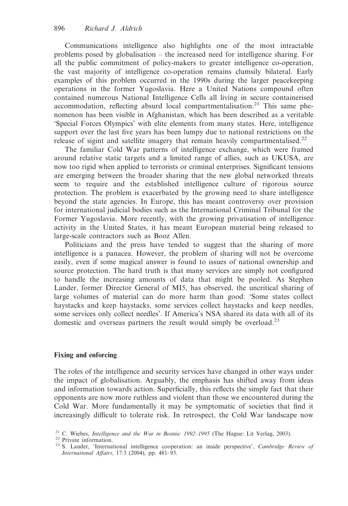Communications intelligence also highlights one of the most intractable problems posed by globalisation – the increased need for intelligence sharing. For all the public commitment of policy-makers to greater intelligence co-operation, the vast majority of intelligence co-operation remains clumsily bilateral. Early examples of this problem occurred in the 1990s during the larger peacekeeping operations in the former Yugoslavia. Here a United Nations compound often contained numerous National Intelligence Cells all living in secure containerised accommodation, reflecting absurd local compartmentalisation.<sup>21</sup> This same phenomenon has been visible in Afghanistan, which has been described as a veritable 'Special Forces Olympics' with elite elements from many states. Here, intelligence support over the last five years has been lumpy due to national restrictions on the release of sigint and satellite imagery that remain heavily compartmentalised.<sup>22</sup>

The familiar Cold War patterns of intelligence exchange, which were framed around relative static targets and a limited range of allies, such as UKUSA, are now too rigid when applied to terrorists or criminal enterprises. Significant tensions are emerging between the broader sharing that the new global networked threats seem to require and the established intelligence culture of rigorous source protection. The problem is exacerbated by the growing need to share intelligence beyond the state agencies. In Europe, this has meant controversy over provision for international judicial bodies such as the International Criminal Tribunal for the Former Yugoslavia. More recently, with the growing privatisation of intelligence activity in the United States, it has meant European material being released to large-scale contractors such as Booz Allen.

Politicians and the press have tended to suggest that the sharing of more intelligence is a panacea. However, the problem of sharing will not be overcome easily, even if some magical answer is found to issues of national ownership and source protection. The hard truth is that many services are simply not configured to handle the increasing amounts of data that might be pooled. As Stephen Lander, former Director General of MI5, has observed, the uncritical sharing of large volumes of material can do more harm than good: 'Some states collect haystacks and keep haystacks, some services collect haystacks and keep needles, some services only collect needles'. If America's NSA shared its data with all of its domestic and overseas partners the result would simply be overload.<sup>23</sup>

## **Fixing and enforcing**

The roles of the intelligence and security services have changed in other ways under the impact of globalisation. Arguably, the emphasis has shifted away from ideas and information towards action. Superficially, this reflects the simple fact that their opponents are now more ruthless and violent than those we encountered during the Cold War. More fundamentally it may be symptomatic of societies that find it increasingly difficult to tolerate risk. In retrospect, the Cold War landscape now

<sup>&</sup>lt;sup>21</sup> C. Wiebes, *Intelligence and the War in Bosnia: 1992–1995* (The Hague: Lit Verlag, 2003).<br><sup>22</sup> Private information.<br><sup>23</sup> S. Lander, 'International intelligence cooperation: an inside perspective', *Cambridge Review o* 

*International Affairs*, 17:3 (2004), pp. 481–93.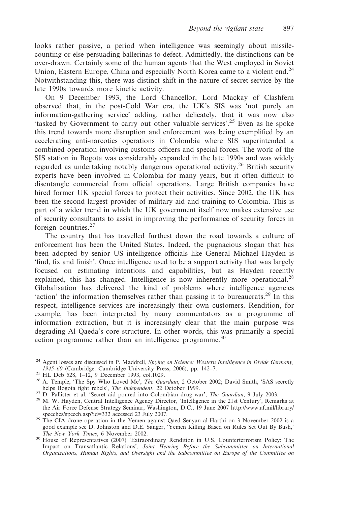looks rather passive, a period when intelligence was seemingly about missilecounting or else persuading ballerinas to defect. Admittedly, the distinctions can be over-drawn. Certainly some of the human agents that the West employed in Soviet Union, Eastern Europe, China and especially North Korea came to a violent end.<sup>24</sup> Notwithstanding this, there was distinct shift in the nature of secret service by the late 1990s towards more kinetic activity.

On 9 December 1993, the Lord Chancellor, Lord Mackay of Clashfern observed that, in the post-Cold War era, the UK's SIS was 'not purely an information-gathering service' adding, rather delicately, that it was now also 'tasked by Government to carry out other valuable services'.25 Even as he spoke this trend towards more disruption and enforcement was being exemplified by an accelerating anti-narcotics operations in Colombia where SIS superintended a combined operation involving customs officers and special forces. The work of the SIS station in Bogota was considerably expanded in the late 1990s and was widely regarded as undertaking notably dangerous operational activity.<sup>26</sup> British security experts have been involved in Colombia for many years, but it often difficult to disentangle commercial from official operations. Large British companies have hired former UK special forces to protect their activities. Since 2002, the UK has been the second largest provider of military aid and training to Colombia. This is part of a wider trend in which the UK government itself now makes extensive use of security consultants to assist in improving the performance of security forces in foreign countries.27

The country that has travelled furthest down the road towards a culture of enforcement has been the United States. Indeed, the pugnacious slogan that has been adopted by senior US intelligence officials like General Michael Hayden is 'find, fix and finish'. Once intelligence used to be a support activity that was largely focused on estimating intentions and capabilities, but as Hayden recently explained, this has changed. Intelligence is now inherently more operational.<sup>28</sup> Globalisation has delivered the kind of problems where intelligence agencies 'action' the information themselves rather than passing it to bureaucrats.<sup>29</sup> In this respect, intelligence services are increasingly their own customers. Rendition, for example, has been interpreted by many commentators as a programme of information extraction, but it is increasingly clear that the main purpose was degrading Al Qaeda's core structure. In other words, this was primarily a special action programme rather than an intelligence programme.<sup>30</sup>

- <sup>27</sup> D. Pallister et al. 'Secret aid poured into Colombian drug war', *The Guardian*, 9 July 2003.<br><sup>28</sup> M. W. Hayden, Central Intelligence Agency Director, 'Intelligence in the 21st Century', Remarks at the Air Force Defense Strategy Seminar, Washington, D.C., 19 June 2007 [http://www.af.mil/library/](http://www.af.mil/library/speeches/speech.asp?id=332)<br>speeches/speech.asp?id=332 accessed 23 July 2007.
- <sup>29</sup> The CIA drone operation in the Yemen against Qaed Senyan al-Harthi on 3 November 2002 is a good example see D. Johnston and D.E. Sanger, 'Yemen Killing Based on Rules Set Out By Bush,'<br>The New York Times. 6 November 2002.
- <sup>30</sup> House of Representatives (2007) 'Extraordinary Rendition in U.S. Counterterrorism Policy: The Impact on Transatlantic Relations', *Joint Hearing Before the Subcommittee on International Organizations, Human Rights, and Oversight and the Subcommittee on Europe of the Committee on*

<sup>24</sup> Agent losses are discussed in P. Maddrell, *Spying on Science: Western Intelligence in Divide Germany,*

<sup>&</sup>lt;sup>25</sup> HL Deb 528, 1–12, 9 December 1993, col.1029.<br><sup>26</sup> A. Temple, 'The Spy Who Loved Me', *The Guardian*, 2 October 2002; David Smith, 'SAS secretly helps Bogota fight rebels', *The Independent*, 22 October 1999.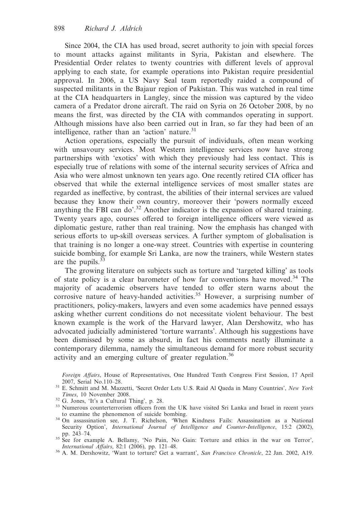Since 2004, the CIA has used broad, secret authority to join with special forces to mount attacks against militants in Syria, Pakistan and elsewhere. The Presidential Order relates to twenty countries with different levels of approval applying to each state, for example operations into Pakistan require presidential approval. In 2006, a US Navy Seal team reportedly raided a compound of suspected militants in the Bajaur region of Pakistan. This was watched in real time at the CIA headquarters in Langley, since the mission was captured by the video camera of a Predator drone aircraft. The raid on Syria on 26 October 2008, by no means the first, was directed by the CIA with commandos operating in support. Although missions have also been carried out in Iran, so far they had been of an intelligence, rather than an 'action' nature. $31$ 

Action operations, especially the pursuit of individuals, often mean working with unsavoury services. Most Western intelligence services now have strong partnerships with 'exotics' with which they previously had less contact. This is especially true of relations with some of the internal security services of Africa and Asia who were almost unknown ten years ago. One recently retired CIA officer has observed that while the external intelligence services of most smaller states are regarded as ineffective, by contrast, the abilities of their internal services are valued because they know their own country, moreover their 'powers normally exceed anything the FBI can do'.<sup>32</sup> Another indicator is the expansion of shared training. Twenty years ago, courses offered to foreign intelligence officers were viewed as diplomatic gesture, rather than real training. Now the emphasis has changed with serious efforts to up-skill overseas services. A further symptom of globalisation is that training is no longer a one-way street. Countries with expertise in countering suicide bombing, for example Sri Lanka, are now the trainers, while Western states are the pupils. $33$ 

The growing literature on subjects such as torture and 'targeted killing' as tools of state policy is a clear barometer of how far conventions have moved.34 The majority of academic observers have tended to offer stern warns about the corrosive nature of heavy-handed activities.<sup>35</sup> However, a surprising number of practitioners, policy-makers, lawyers and even some academics have penned essays asking whether current conditions do not necessitate violent behaviour. The best known example is the work of the Harvard lawyer, Alan Dershowitz, who has advocated judicially administered 'torture warrants'. Although his suggestions have been dismissed by some as absurd, in fact his comments neatly illuminate a contemporary dilemma, namely the simultaneous demand for more robust security activity and an emerging culture of greater regulation.36

*Foreign Affairs*, House of Representatives, One Hundred Tenth Congress First Session, 17 April

- <sup>32</sup> G. Jones, 'It's a Cultural Thing', p. 28. **33** Numerous counterterrorism officers from the UK have visited Sri Lanka and Israel in recent years
- to examine the phenomenon of suicide bombing. <sup>34</sup> On assassination see, J. T. Richelson, 'When Kindness Fails: Assassination as a National Security Option', *International Journal of Intelligence and Counter-Intelligence*, 15:2 (2002),

<sup>&</sup>lt;sup>31</sup> E. Schmitt and M. Mazzetti, 'Secret Order Lets U.S. Raid Al Qaeda in Many Countries', *New York Times*, 10 November 2008.

<sup>&</sup>lt;sup>35</sup> See for example A. Bellamy, 'No Pain, No Gain: Torture and ethics in the war on Terror', *International Affairs*, 82:1 (2006), pp. 121–48. <sup>36</sup> A. M. Dershowitz, 'Want to torture? Get a warrant', *San Francisco Chronicle*, 22 Jan. 2002, A19.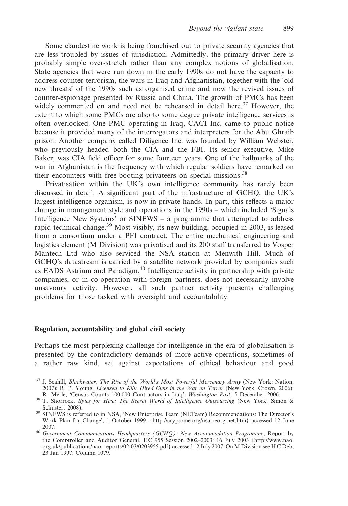Some clandestine work is being franchised out to private security agencies that are less troubled by issues of jurisdiction. Admittedly, the primary driver here is probably simple over-stretch rather than any complex notions of globalisation. State agencies that were run down in the early 1990s do not have the capacity to address counter-terrorism, the wars in Iraq and Afghanistan, together with the 'old new threats' of the 1990s such as organised crime and now the revived issues of counter-espionage presented by Russia and China. The growth of PMCs has been widely commented on and need not be rehearsed in detail here.<sup>37</sup> However, the extent to which some PMCs are also to some degree private intelligence services is often overlooked. One PMC operating in Iraq, CACI Inc. came to public notice because it provided many of the interrogators and interpreters for the Abu Ghraib prison. Another company called Diligence Inc. was founded by William Webster, who previously headed both the CIA and the FBI. Its senior executive, Mike Baker, was CIA field officer for some fourteen years. One of the hallmarks of the war in Afghanistan is the frequency with which regular soldiers have remarked on their encounters with free-booting privateers on special missions.<sup>38</sup>

Privatisation within the UK's own intelligence community has rarely been discussed in detail. A significant part of the infrastructure of GCHQ, the UK's largest intelligence organism, is now in private hands. In part, this reflects a major change in management style and operations in the 1990s – which included 'Signals Intelligence New Systems' or SINEWS – a programme that attempted to address rapid technical change.<sup>39</sup> Most visibly, its new building, occupied in 2003, is leased from a consortium under a PFI contract. The entire mechanical engineering and logistics element (M Division) was privatised and its 200 staff transferred to Vosper Mantech Ltd who also serviced the NSA station at Menwith Hill. Much of GCHQ's datastream is carried by a satellite network provided by companies such as EADS Astrium and Paradigm.<sup>40</sup> Intelligence activity in partnership with private companies, or in co-operation with foreign partners, does not necessarily involve unsavoury activity. However, all such partner activity presents challenging problems for those tasked with oversight and accountability.

#### **Regulation, accountability and global civil society**

Perhaps the most perplexing challenge for intelligence in the era of globalisation is presented by the contradictory demands of more active operations, sometimes of a rather raw kind, set against expectations of ethical behaviour and good

- <sup>37</sup> J. Scahill, *Blackwater: The Rise of the World's Most Powerful Mercenary Army* (New York: Nation, 2007); R. P. Young, *Licensed to Kill: Hired Guns in the War on Terror* (New York: Crown, 2006);
- <sup>38</sup> T. Shorrock, *Spies for Hire: The Secret World of Intelligence Outsourcing* (New York: Simon & Schuster, 2008).
- <sup>39</sup> SINEWS is referred to in NSA, 'New Enterprise Team (NETeam) Recommendations: The Director's Work Plan for Change', 1 October 1999, [{http://cryptome.org/nsa-reorg-net.htm}](http://cryptome.org/nsa-reorg-net.htm) accessed 12 June
- 2007. <sup>40</sup> *Government Communications Headquarters (GCHQ): New Accommodation Programme*, Report by the Comptroller and Auditor General, HC 955 Session 2002–2003: 16 July 2003 [{http://www.nao.](http://www.nao.org.uk/publications/nao_reports/02-03/0203955.pdf) [org.uk/publications/nao\\_reports/02-03/0203955.pdf}](http://www.nao.org.uk/publications/nao_reports/02-03/0203955.pdf) accessed 12 July 2007. On M Division see H C Deb, 23 Jan 1997: Column 1079.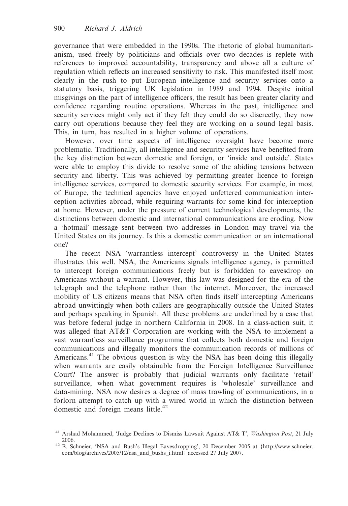governance that were embedded in the 1990s. The rhetoric of global humanitarianism, used freely by politicians and officials over two decades is replete with references to improved accountability, transparency and above all a culture of regulation which reflects an increased sensitivity to risk. This manifested itself most clearly in the rush to put European intelligence and security services onto a statutory basis, triggering UK legislation in 1989 and 1994. Despite initial misgivings on the part of intelligence officers, the result has been greater clarity and confidence regarding routine operations. Whereas in the past, intelligence and security services might only act if they felt they could do so discreetly, they now carry out operations because they feel they are working on a sound legal basis. This, in turn, has resulted in a higher volume of operations.

However, over time aspects of intelligence oversight have become more problematic. Traditionally, all intelligence and security services have benefited from the key distinction between domestic and foreign, or 'inside and outside'. States were able to employ this divide to resolve some of the abiding tensions between security and liberty. This was achieved by permitting greater licence to foreign intelligence services, compared to domestic security services. For example, in most of Europe, the technical agencies have enjoyed unfettered communication interception activities abroad, while requiring warrants for some kind for interception at home. However, under the pressure of current technological developments, the distinctions between domestic and international communications are eroding. Now a 'hotmail' message sent between two addresses in London may travel via the United States on its journey. Is this a domestic communication or an international one?

The recent NSA 'warrantless intercept' controversy in the United States illustrates this well. NSA, the Americans signals intelligence agency, is permitted to intercept foreign communications freely but is forbidden to eavesdrop on Americans without a warrant. However, this law was designed for the era of the telegraph and the telephone rather than the internet. Moreover, the increased mobility of US citizens means that NSA often finds itself intercepting Americans abroad unwittingly when both callers are geographically outside the United States and perhaps speaking in Spanish. All these problems are underlined by a case that was before federal judge in northern California in 2008. In a class-action suit, it was alleged that AT&T Corporation are working with the NSA to implement a vast warrantless surveillance programme that collects both domestic and foreign communications and illegally monitors the communication records of millions of Americans.<sup>41</sup> The obvious question is why the NSA has been doing this illegally when warrants are easily obtainable from the Foreign Intelligence Surveillance Court? The answer is probably that judicial warrants only facilitate 'retail' surveillance, when what government requires is 'wholesale' surveillance and data-mining. NSA now desires a degree of mass trawling of communications, in a forlorn attempt to catch up with a wired world in which the distinction between domestic and foreign means little.<sup>42</sup>

<sup>41</sup> Arshad Mohammed, 'Judge Declines to Dismiss Lawsuit Against AT& T', *Washington Post*, 21 July 2006. <sup>42</sup> B. Schneier, 'NSA and Bush's Illegal Eavesdropping', 20 December 2005 at [{http://www.schneier.](http://www.schneier.com/blog/archives/2005/12/nsa_and_bushs_i.html)

[com/blog/archives/2005/12/nsa\\_and\\_bushs\\_i.html}](http://www.schneier.com/blog/archives/2005/12/nsa_and_bushs_i.html) accessed 27 July 2007.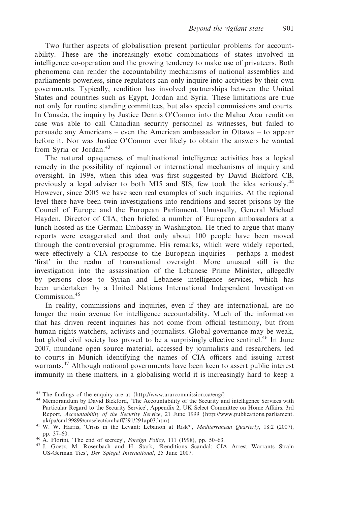Two further aspects of globalisation present particular problems for accountability. These are the increasingly exotic combinations of states involved in intelligence co-operation and the growing tendency to make use of privateers. Both phenomena can render the accountability mechanisms of national assemblies and parliaments powerless, since regulators can only inquire into activities by their own governments. Typically, rendition has involved partnerships between the United States and countries such as Egypt, Jordan and Syria. These limitations are true not only for routine standing committees, but also special commissions and courts. In Canada, the inquiry by Justice Dennis O'Connor into the Mahar Arar rendition case was able to call Canadian security personnel as witnesses, but failed to persuade any Americans – even the American ambassador in Ottawa – to appear before it. Nor was Justice O'Connor ever likely to obtain the answers he wanted from Syria or Jordan.<sup>43</sup>

The natural opaqueness of multinational intelligence activities has a logical remedy in the possibility of regional or international mechanisms of inquiry and oversight. In 1998, when this idea was first suggested by David Bickford CB, previously a legal adviser to both MI5 and SIS, few took the idea seriously.44 However, since 2005 we have seen real examples of such inquiries. At the regional level there have been twin investigations into renditions and secret prisons by the Council of Europe and the European Parliament. Unusually, General Michael Hayden, Director of CIA, then briefed a number of European ambassadors at a lunch hosted as the German Embassy in Washington. He tried to argue that many reports were exaggerated and that only about 100 people have been moved through the controversial programme. His remarks, which were widely reported, were effectively a CIA response to the European inquiries – perhaps a modest 'first' in the realm of transnational oversight. More unusual still is the investigation into the assassination of the Lebanese Prime Minister, allegedly by persons close to Syrian and Lebanese intelligence services, which has been undertaken by a United Nations International Independent Investigation Commission.45

In reality, commissions and inquiries, even if they are international, are no longer the main avenue for intelligence accountability. Much of the information that has driven recent inquiries has not come from official testimony, but from human rights watchers, activists and journalists. Global governance may be weak, but global civil society has proved to be a surprisingly effective sentinel.<sup>46</sup> In June 2007, mundane open source material, accessed by journalists and researchers, led to courts in Munich identifying the names of CIA officers and issuing arrest warrants.<sup>47</sup> Although national governments have been keen to assert public interest immunity in these matters, in a globalising world it is increasingly hard to keep a

- 
- <sup>43</sup> The findings of the enquiry are at [{http://www.ararcommission.ca/eng/}](http://www.ararcommission.ca/eng/)  $44$  Memorandum by David Bickford, 'The Accountability of the Security and intelligence Services with Particular Regard to the Security Service', Appendix 2, UK Select Committee on Home Affairs, 3rd Report, *Accountability of the Security Service*, 21 June 1999 [{http://www.publications.parliament.](http://www.publications.parliament.uk/pa/cm199899/cmselect/cmhaff/291/291ap03.htm)<br>uk/pa/cm199899/cmselect/cmhaff/291/291ap03.htm}
- <sup>45</sup> W. W. Harris, 'Crisis in the Levant: Lebanon at Risk?', *Mediterranean Quarterly*, 18:2 (2007), pp. 37–60.
- 
- pp. 37–60. <sup>46</sup> A. Florini, 'The end of secrecy', *Foreign Policy*, 111 (1998), pp. 50–63. <sup>47</sup> J. Goetz, M. Rosenbach and H. Stark, 'Renditions Scandal: CIA Arrest Warrants Strain US-German Ties', *Der Spiegel International*, 25 June 2007.